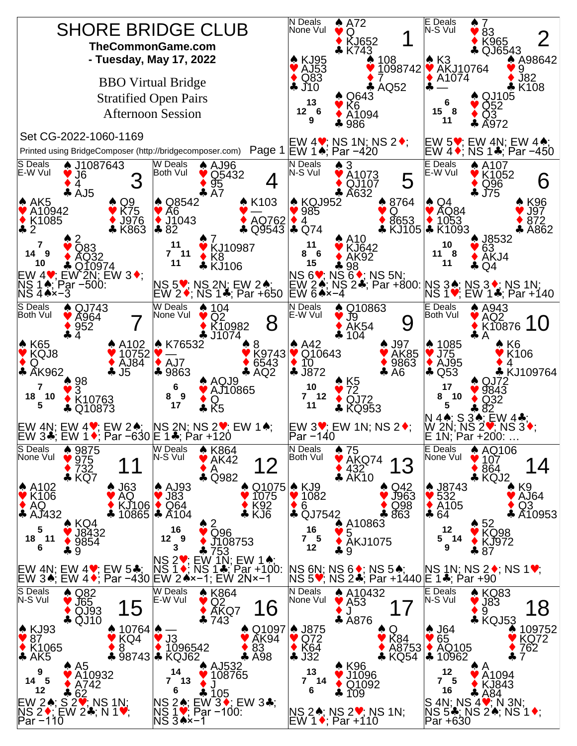